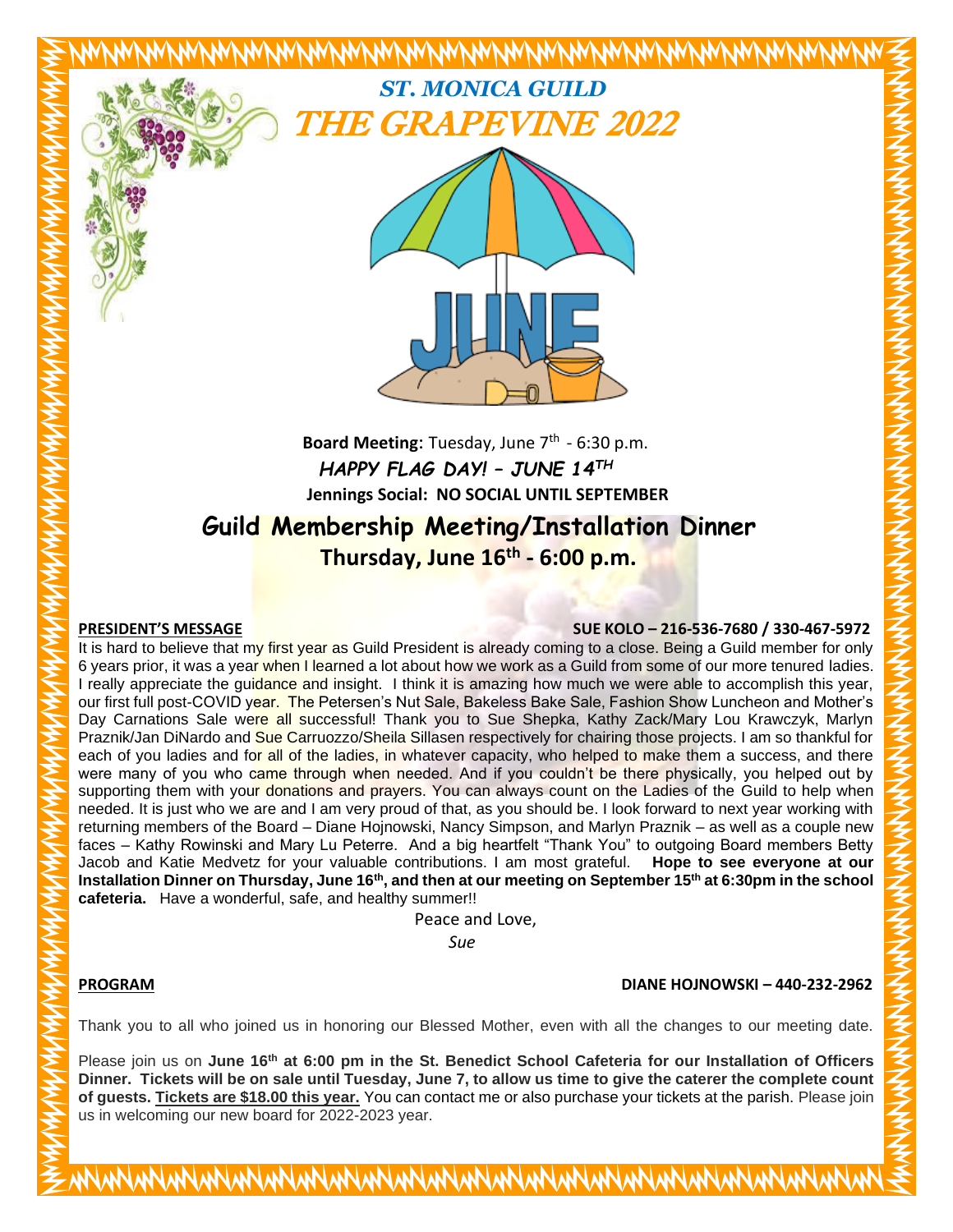

Board Meeting: Tuesday, June 7<sup>th</sup> - 6:30 p.m.  *HAPPY FLAG DAY! – JUNE 14TH*  **Jennings Social: NO SOCIAL UNTIL SEPTEMBER**

# **Guild Membership Meeting/Installation Dinner Thursday, June 16th - 6:00 p.m.**

## **PRESIDENT'S MESSAGE SUE KOLO – 216-536-7680 / 330-467-5972**

It is hard to believe that my first year as Guild President is already coming to a close. Being a Guild member for only 6 years prior, it was a year when I learned a lot about how we work as a Guild from some of our more tenured ladies. I really appreciate the guidance and insight. I think it is amazing how much we were able to accomplish this year, our first full post-COVID year. The Petersen's Nut Sale, Bakeless Bake Sale, Fashion Show Luncheon and Mother's Day Carnations Sale were all successful! Thank you to Sue Shepka, Kathy Zack/Mary Lou Krawczyk, Marlyn Praznik/Jan DiNardo and Sue Carruozzo/Sheila Sillasen respectively for chairing those projects. I am so thankful for each of you ladies and for all of the ladies, in whatever capacity, who helped to make them a success, and there were many of you who came through when needed. And if you couldn't be there physically, you helped out by supporting them with your donations and prayers. You can always count on the Ladies of the Guild to help when needed. It is just who we are and I am very proud of that, as you should be. I look forward to next year working with returning members of the Board – Diane Hojnowski, Nancy Simpson, and Marlyn Praznik – as well as a couple new faces – Kathy Rowinski and Mary Lu Peterre. And a big heartfelt "Thank You" to outgoing Board members Betty Jacob and Katie Medvetz for your valuable contributions. I am most grateful. **Hope to see everyone at our Installation Dinner on Thursday, June 16th, and then at our meeting on September 15th at 6:30pm in the school cafeteria.** Have a wonderful, safe, and healthy summer!!

Peace and Love,

*Sue*

# **PROGRAM DIANE HOJNOWSKI – 440-232-2962**

Thank you to all who joined us in honoring our Blessed Mother, even with all the changes to our meeting date.

Please join us on **June 16th at 6:00 pm in the St. Benedict School Cafeteria for our Installation of Officers Dinner. Tickets will be on sale until Tuesday, June 7, to allow us time to give the caterer the complete count of guests. Tickets are \$18.00 this year.** You can contact me or also purchase your tickets at the parish. Please join us in welcoming our new board for 2022-2023 year.